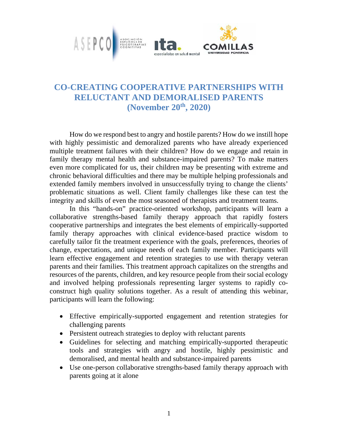

## **CO-CREATING COOPERATIVE PARTNERSHIPS WITH RELUCTANT AND DEMORALISED PARENTS (November 20th, 2020)**

 How do we respond best to angry and hostile parents? How do we instill hope with highly pessimistic and demoralized parents who have already experienced multiple treatment failures with their children? How do we engage and retain in family therapy mental health and substance-impaired parents? To make matters even more complicated for us, their children may be presenting with extreme and chronic behavioral difficulties and there may be multiple helping professionals and extended family members involved in unsuccessfully trying to change the clients' problematic situations as well. Client family challenges like these can test the integrity and skills of even the most seasoned of therapists and treatment teams.

In this "hands-on" practice-oriented workshop, participants will learn a collaborative strengths-based family therapy approach that rapidly fosters cooperative partnerships and integrates the best elements of empirically-supported family therapy approaches with clinical evidence-based practice wisdom to carefully tailor fit the treatment experience with the goals, preferences, theories of change, expectations, and unique needs of each family member. Participants will learn effective engagement and retention strategies to use with therapy veteran parents and their families. This treatment approach capitalizes on the strengths and resources of the parents, children, and key resource people from their social ecology and involved helping professionals representing larger systems to rapidly coconstruct high quality solutions together. As a result of attending this webinar, participants will learn the following:

- Effective empirically-supported engagement and retention strategies for challenging parents
- Persistent outreach strategies to deploy with reluctant parents
- Guidelines for selecting and matching empirically-supported therapeutic tools and strategies with angry and hostile, highly pessimistic and demoralised, and mental health and substance-impaired parents
- Use one-person collaborative strengths-based family therapy approach with parents going at it alone